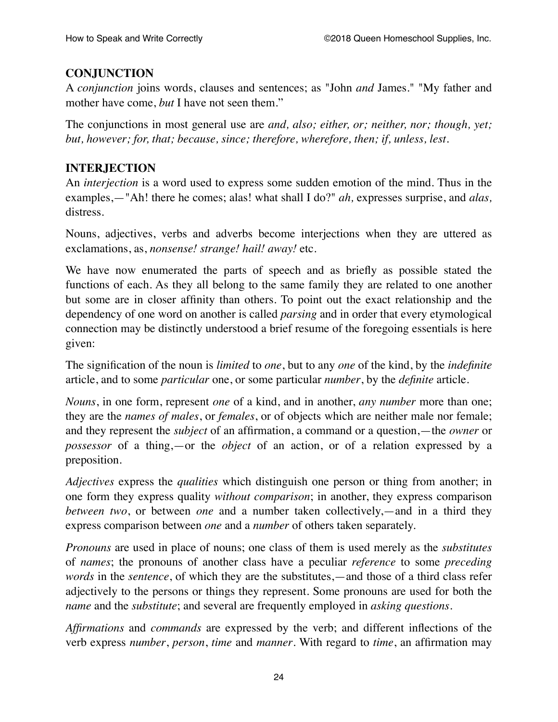## **CONJUNCTION**

A *conjunction* joins words, clauses and sentences; as "John *and* James." "My father and mother have come, *but* I have not seen them."

The conjunctions in most general use are *and, also; either, or; neither, nor; though, yet; but, however; for, that; because, since; therefore, wherefore, then; if, unless, lest*.

## **INTERJECTION**

An *interjection* is a word used to express some sudden emotion of the mind. Thus in the examples,—"Ah! there he comes; alas! what shall I do?" *ah,* expresses surprise, and *alas,* distress.

Nouns, adjectives, verbs and adverbs become interjections when they are uttered as exclamations, as, *nonsense! strange! hail! away!* etc.

We have now enumerated the parts of speech and as briefly as possible stated the functions of each. As they all belong to the same family they are related to one another but some are in closer affinity than others. To point out the exact relationship and the dependency of one word on another is called *parsing* and in order that every etymological connection may be distinctly understood a brief resume of the foregoing essentials is here given:

The signification of the noun is *limited* to *one*, but to any *one* of the kind, by the *indefinite* article, and to some *particular* one, or some particular *number*, by the *definite* article.

*Nouns*, in one form, represent *one* of a kind, and in another, *any number* more than one; they are the *names of males*, or *females*, or of objects which are neither male nor female; and they represent the *subject* of an affirmation, a command or a question,—the *owner* or *possessor* of a thing,—or the *object* of an action, or of a relation expressed by a preposition.

*Adjectives* express the *qualities* which distinguish one person or thing from another; in one form they express quality *without comparison*; in another, they express comparison *between two*, or between *one* and a number taken collectively,—and in a third they express comparison between *one* and a *number* of others taken separately.

*Pronouns* are used in place of nouns; one class of them is used merely as the *substitutes* of *names*; the pronouns of another class have a peculiar *reference* to some *preceding words* in the *sentence*, of which they are the substitutes,—and those of a third class refer adjectively to the persons or things they represent. Some pronouns are used for both the *name* and the *substitute*; and several are frequently employed in *asking questions*.

*Affirmations* and *commands* are expressed by the verb; and different inflections of the verb express *number*, *person*, *time* and *manner*. With regard to *time*, an affirmation may